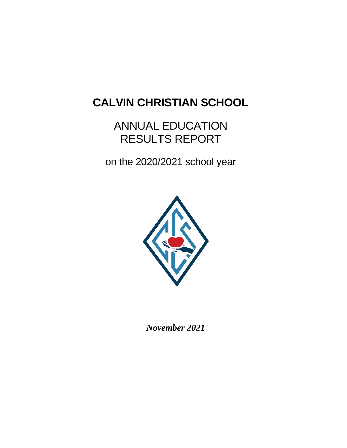# **CALVIN CHRISTIAN SCHOOL**

# ANNUAL EDUCATION RESULTS REPORT

on the 2020/2021 school year



*November 2021*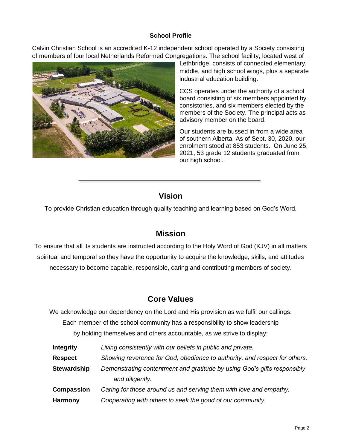### **School Profile**

Calvin Christian School is an accredited K-12 independent school operated by a Society consisting of members of four local Netherlands Reformed Congregations. The school facility, located west of



Lethbridge, consists of connected elementary, middle, and high school wings, plus a separate industrial education building.

CCS operates under the authority of a school board consisting of six members appointed by consistories, and six members elected by the members of the Society. The principal acts as advisory member on the board.

Our students are bussed in from a wide area of southern Alberta. As of Sept. 30, 2020, our enrolment stood at 853 students. On June 25, 2021, 53 grade 12 students graduated from our high school.

# **Vision**

To provide Christian education through quality teaching and learning based on God's Word.

# **Mission**

To ensure that all its students are instructed according to the Holy Word of God (KJV) in all matters spiritual and temporal so they have the opportunity to acquire the knowledge, skills, and attitudes necessary to become capable, responsible, caring and contributing members of society.

# **Core Values**

We acknowledge our dependency on the Lord and His provision as we fulfil our callings.

Each member of the school community has a responsibility to show leadership

by holding themselves and others accountable, as we strive to display:

**Integrity** *Living consistently with our beliefs in public and private.* **Respect** *Showing reverence for God, obedience to authority, and respect for others.* **Stewardship** *Demonstrating contentment and gratitude by using God's gifts responsibly and diligently.* **Compassion** *Caring for those around us and serving them with love and empathy.* **Harmony** *Cooperating with others to seek the good of our community.*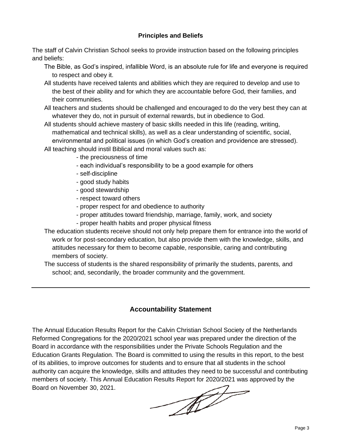## **Principles and Beliefs**

The staff of Calvin Christian School seeks to provide instruction based on the following principles and beliefs:

The Bible, as God's inspired, infallible Word, is an absolute rule for life and everyone is required to respect and obey it.

- All students have received talents and abilities which they are required to develop and use to the best of their ability and for which they are accountable before God, their families, and their communities.
- All teachers and students should be challenged and encouraged to do the very best they can at whatever they do, not in pursuit of external rewards, but in obedience to God.
- All students should achieve mastery of basic skills needed in this life (reading, writing, mathematical and technical skills), as well as a clear understanding of scientific, social, environmental and political issues (in which God's creation and providence are stressed).
- All teaching should instil Biblical and moral values such as:
	- the preciousness of time
	- each individual's responsibility to be a good example for others
	- self-discipline
	- good study habits
	- good stewardship
	- respect toward others
	- proper respect for and obedience to authority
	- proper attitudes toward friendship, marriage, family, work, and society
	- proper health habits and proper physical fitness

The education students receive should not only help prepare them for entrance into the world of work or for post-secondary education, but also provide them with the knowledge, skills, and attitudes necessary for them to become capable, responsible, caring and contributing members of society.

The success of students is the shared responsibility of primarily the students, parents, and school; and, secondarily, the broader community and the government.

# **Accountability Statement**

The Annual Education Results Report for the Calvin Christian School Society of the Netherlands Reformed Congregations for the 2020/2021 school year was prepared under the direction of the Board in accordance with the responsibilities under the Private Schools Regulation and the Education Grants Regulation. The Board is committed to using the results in this report, to the best of its abilities, to improve outcomes for students and to ensure that all students in the school authority can acquire the knowledge, skills and attitudes they need to be successful and contributing members of society. This Annual Education Results Report for 2020/2021 was approved by the Board on November 30, 2021. Board on November 30, 2021.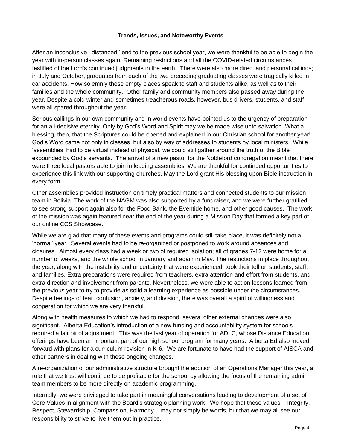#### **Trends, Issues, and Noteworthy Events**

After an inconclusive, 'distanced,' end to the previous school year, we were thankful to be able to begin the year with in-person classes again. Remaining restrictions and all the COVID-related circumstances testified of the Lord's continued judgments in the earth. There were also more direct and personal callings; in July and October, graduates from each of the two preceding graduating classes were tragically killed in car accidents. How solemnly these empty places speak to staff and students alike, as well as to their families and the whole community. Other family and community members also passed away during the year. Despite a cold winter and sometimes treacherous roads, however, bus drivers, students, and staff were all spared throughout the year.

Serious callings in our own community and in world events have pointed us to the urgency of preparation for an all-decisive eternity. Only by God's Word and Spirit may we be made wise unto salvation. What a blessing, then, that the Scriptures could be opened and explained in our Christian school for another year! God's Word came not only in classes, but also by way of addresses to students by local ministers. While 'assemblies' had to be virtual instead of physical, we could still gather around the truth of the Bible expounded by God's servants. The arrival of a new pastor for the Nobleford congregation meant that there were three local pastors able to join in leading assemblies. We are thankful for continued opportunities to experience this link with our supporting churches. May the Lord grant His blessing upon Bible instruction in every form.

Other assemblies provided instruction on timely practical matters and connected students to our mission team in Bolivia. The work of the NAGM was also supported by a fundraiser, and we were further gratified to see strong support again also for the Food Bank, the Eventide home, and other good causes. The work of the mission was again featured near the end of the year during a Mission Day that formed a key part of our online CCS Showcase.

While we are glad that many of these events and programs could still take place, it was definitely not a 'normal' year. Several events had to be re-organized or postponed to work around absences and closures. Almost every class had a week or two of required isolation; all of grades 7-12 were home for a number of weeks, and the whole school in January and again in May. The restrictions in place throughout the year, along with the instability and uncertainty that were experienced, took their toll on students, staff, and families. Extra preparations were required from teachers, extra attention and effort from students, and extra direction and involvement from parents. Nevertheless, we were able to act on lessons learned from the previous year to try to provide as solid a learning experience as possible under the circumstances. Despite feelings of fear, confusion, anxiety, and division, there was overall a spirit of willingness and cooperation for which we are very thankful.

Along with health measures to which we had to respond, several other external changes were also significant. Alberta Education's introduction of a new funding and accountability system for schools required a fair bit of adjustment. This was the last year of operation for ADLC, whose Distance Education offerings have been an important part of our high school program for many years. Alberta Ed also moved forward with plans for a curriculum revision in K-6. We are fortunate to have had the support of AISCA and other partners in dealing with these ongoing changes.

A re-organization of our administrative structure brought the addition of an Operations Manager this year, a role that we trust will continue to be profitable for the school by allowing the focus of the remaining admin team members to be more directly on academic programming.

Internally, we were privileged to take part in meaningful conversations leading to development of a set of Core Values in alignment with the Board's strategic planning work. We hope that these values – Integrity, Respect, Stewardship, Compassion, Harmony – may not simply be words, but that we may all see our responsibility to strive to live them out in practice.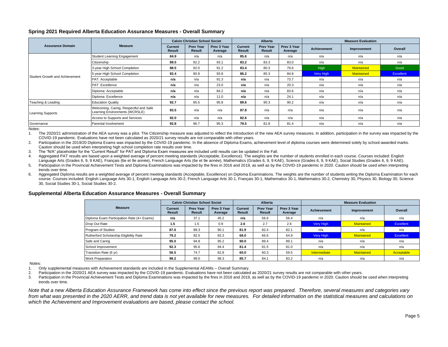#### **Spring 2021 Required Alberta Education Assurance Measures - Overall Summary**

|                                |                                                                          |                          | <b>Calvin Christian School Societ</b> |                        |                   | Alberta                    |                        |                    | <b>Measure Evaluation</b> |           |
|--------------------------------|--------------------------------------------------------------------------|--------------------------|---------------------------------------|------------------------|-------------------|----------------------------|------------------------|--------------------|---------------------------|-----------|
| <b>Assurance Domain</b>        | <b>Measure</b>                                                           | Current<br><b>Result</b> | <b>Prev Year</b><br>Result            | Prev 3 Year<br>Average | Current<br>Result | <b>Prev Year</b><br>Result | Prev 3 Year<br>Average | <b>Achievement</b> | Improvement               | Overall   |
|                                | Student Learning Engagement                                              | 84.9                     | n/a                                   | n/a                    | 85.6              | n/a                        | n/a                    | n/a                | n/a                       | n/a       |
|                                | Citizenship                                                              | 89.5                     | 92.2                                  | 93.1                   | 83.2              | 83.3                       | 83.0                   | n/a                | n/a                       | n/a       |
|                                | 3-year High School Completion                                            | 88.5                     | 92.0                                  | 91.2                   | 83.4              | 80.3                       | 79.6                   | <b>High</b>        | Maintained                | Good      |
| Student Growth and Achievement | 5-year High School Completion                                            | 92.4                     | 90.9                                  | 93.8                   | 86.2              | 85.3                       | 84.8                   | Very High          | Maintained                | Excellent |
|                                | PAT: Acceptable                                                          | n/a                      | n/a                                   | 91.3                   | n/a               | n/a                        | 73.7                   | n/a                | n/a                       | n/a       |
|                                | PAT: Excellence                                                          | n/a                      | n/a                                   | 23.0                   | n/a               | n/a                        | 20.3                   | n/a                | n/a                       | n/a       |
|                                | Diploma: Acceptable                                                      | n/a                      | n/a                                   | 84.2                   | n/a               | n/a                        | 83.6                   | n/a                | n/a                       | n/a       |
|                                | Diploma: Excellence                                                      | n/a                      | n/a                                   | 11.0                   | n/a               | n/a                        | 24.1                   | n/a                | n/a                       | n/a       |
| Teaching & Leading             | <b>Education Quality</b>                                                 | 92.7                     | 95.5                                  | 95.8                   | 89.6              | 90.3                       | 90.2                   | n/a                | n/a                       | n/a       |
| Learning Supports              | Welcoming, Caring, Respectful and Safe<br>Learning Environments (WCRSLE) | 93.5                     | n/a                                   | n/a                    | 87.8              | n/a                        | n/a                    | n/a                | n/a                       | n/a       |
|                                | Access to Supports and Services                                          | 92.0                     | n/a                                   | n/a                    | 82.6              | n/a                        | n/a                    | n/a                | n/a                       | n/a       |
| Governance                     | Parental Involvement                                                     | 92.8                     | 96.7                                  | 95.3                   | 79.5              | 81.8                       | 81.4                   | n/a                | n/a                       | n/a       |

Notes:

1. The 2020/21 administration of the AEA survey was a pilot. The Citizenship measure was adjusted to reflect the introduction of the new AEA survey measures. In addition, participation in the survey was impacted by the COVID-19 pandemic. Evaluations have not been calculated as 2020/21 survey results are not comparable with other years.

2. Participation in the 2019/20 Diploma Exams was impacted by the COVID-19 pandemic. In the absence of Diploma Exams, achievement level of diploma courses were determined solely by school-awarded marks. Caution should be used when interpreting high school completion rate results over time.

3. The "N/A" placeholder for the "Current Result" for PAT and Diploma Exam measures are included until results can be updated in the Fall.

4. Aggregated PAT results are based upon a weighted average of percent meeting standards (Acceptable, Excellence). The weights are the number of students enrolled in each course. Courses included: English Language Arts (Grades 6, 9, 9 KAE), Français (6e et 9e année), French Language Arts (6e et 9e année), Mathematics (Grades 6, 9, 9 KAE), Science (Grades 6, 9, 9 KAE), Social Studies (Grades 6, 9, 9 KAE).

5. Participation in the Provincial Achievement Tests and Diploma Examinations was impacted by the fires in 2016 and 2019, as well as by the COVID-19 pandemic in 2020. Caution should be used when interpreting trends over time.

6. Aggregated Diploma results are a weighted average of percent meeting standards (Acceptable, Excellence) on Diploma Examinations. The weights are the number of students writing the Diploma Examination for each course. Courses included: English Language Arts 30-1, English Language Arts 30-2, French Language Arts 30-1, Français 30-1, Mathematics 30-1, Mathematics 30-2, Chemistry 30, Physics 30, Biology 30, Science 30, Social Studies 30-1, Social Studies 30-2.

|                                            |                          | <b>Calvin Christian School Societ</b> |                        |                                 | Alberta                    |                        |                    | <b>Measure Evaluation</b> |            |
|--------------------------------------------|--------------------------|---------------------------------------|------------------------|---------------------------------|----------------------------|------------------------|--------------------|---------------------------|------------|
| <b>Measure</b>                             | Current<br><b>Result</b> | <b>Prev Year</b><br>Result            | Prev 3 Year<br>Average | <b>Current</b><br><b>Result</b> | <b>Prev Year</b><br>Result | Prev 3 Year<br>Average | <b>Achievement</b> | Improvement               | Overall    |
| Diploma Exam Participation Rate (4+ Exams) | n/a                      | 37.1                                  | 45.2                   | n/a                             | 56.6                       | 56.4                   | n/a                | n/a                       | n/a        |
| Drop Out Rate                              | 1.5                      | 1.5                                   | 0.9                    | 2.6                             | 2.7                        | 2.6                    | Very High          | <b>Maintained</b>         | Excellent  |
| Program of Studies                         | 87.6                     | 89.3                                  | 90.1                   | 81.9                            | 82.4                       | 82.1                   | n/a                | n/a                       | n/a        |
| Rutherford Scholarship Eligibility Rate    | 79.2                     | 82.5                                  | 83.3                   | 68.0                            | 66.6                       | 64.9                   | Very High          | <b>Maintained</b>         | Excellent  |
| Safe and Caring                            | 95.0                     | 94.8                                  | 95.2                   | 90.0                            | 89.4                       | 89.1                   | n/a                | n/a                       | n/a        |
| School Improvement                         | 92.3                     | 95.6                                  | 94.4                   | 81.4                            | 81.5                       | 81.0                   | n/a                | n/a                       | n/a        |
| Transition Rate (6 yr)                     | 56.5                     | 74.7                                  | 62.8                   | 60.0                            | 60.3                       | 59.5                   | Intermediate       | <b>Maintained</b>         | Acceptable |
| <b>Work Preparation</b>                    | 98.2                     | 99.0                                  | 98.3                   | 85.7                            | 84.1                       | 83.2                   | n/a                | n/a                       | n/a        |

#### **Supplemental Alberta Education Assurance Measures - Overall Summary**

Notes:

1. Only supplemental measures with Achievement standards are included in the Supplemental AEAMs – Overall Summary.

2. Participation in the 2020/21 AEA survey was impacted by the COVID-19 pandemic. Evaluations have not been calculated as 2020/21 survey results are not comparable with other years.

3. Participation in the Provincial Achievement Tests and Diploma Examinations was impacted by the fires in 2016 and 2019, as well as by the COVID-19 pandemic in 2020. Caution should be used when interpreting trends over time.

*Note that a new Alberta Education Assurance Framework has come into effect since the previous report was prepared. Therefore, several measures and categories vary from what was presented in the 2020 AERR, and trend data is not yet available for new measures. For detailed information on the statistical measures and calculations on which the Achievement and Improvement evaluations are based, please contact the school.*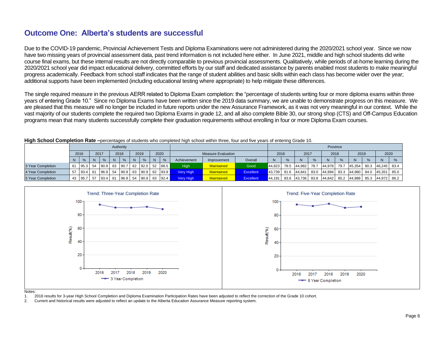# **Outcome One: Alberta's students are successful**

Due to the COVID-19 pandemic, Provincial Achievement Tests and Diploma Examinations were not administered during the 2020/2021 school year. Since we now have two missing years of provincial assessment data, past trend information is not included here either. In June 2021, middle and high school students did write course final exams, but these internal results are not directly comparable to previous provincial assessments. Qualitatively, while periods of at-home learning during the 2020/2021 school year did impact educational delivery, committed efforts by our staff and dedicated assistance by parents enabled most students to make meaningful progress academically. Feedback from school staff indicates that the range of student abilities and basic skills within each class has become wider over the year; additional supports have been implemented (including educational testing where appropriate) to help mitigate these differences.

The single required measure in the previous AERR related to Diploma Exam completion: the "percentage of students writing four or more diploma exams within three years of entering Grade 10." Since no Diploma Exams have been written since the 2019 data summary, we are unable to demonstrate progress on this measure. We are pleased that this measure will no longer be included in future reports under the new Assurance Framework, as it was not very meaningful in our context. While the vast majority of our students complete the required two Diploma Exams in grade 12, and all also complete Bible 30, our strong shop (CTS) and Off-Campus Education programs mean that many students successfully complete their graduation requirements without enrolling in four or more Diploma Exam courses.

|                   |    |         |           |           |    |                |    |      |                  | poroomaged or diagonic who completed high concer within three, four and his years or chitering Ordeo. To: |                  |             |      |                                 |      |        |          |             |      |             |      |
|-------------------|----|---------|-----------|-----------|----|----------------|----|------|------------------|-----------------------------------------------------------------------------------------------------------|------------------|-------------|------|---------------------------------|------|--------|----------|-------------|------|-------------|------|
|                   |    |         |           | Authority |    |                |    |      |                  |                                                                                                           |                  |             |      |                                 |      |        | Province |             |      |             |      |
|                   |    | 2016    | 2017      | 2018      |    | 2019           |    | 2020 |                  | <b>Measure Evaluation</b>                                                                                 |                  | 2016        |      | 2017                            |      | 2018   |          | 2019        |      | 2020        |      |
|                   |    |         | $\%$      | $\%$      |    | %              | N. | $\%$ | Achievement      | Improvement                                                                                               | Overall          |             | $\%$ |                                 |      |        | $\%$     |             |      |             |      |
| 3 Year Completion |    | 95.3 54 | $90.9$ 63 | 90.7      | 62 | $92.0$ 52 88.5 |    |      | High             | <b>Maintained</b>                                                                                         | Good             | 44.823 78.5 |      | 44.982                          | 78.7 | 44.978 | 79.7     | 45.354      | 80.3 | 46.245 83.4 |      |
| 4 Year Completion |    | 93.4 61 | 96.9 54   | 90.9      | 63 | $90.9$ 62 93.9 |    |      | <b>Very High</b> | <b>Maintained</b>                                                                                         | Excellent        | 43.739 81.6 |      | 44.841                          | 83.0 | 44.994 | 83.3     | 44.980 84.0 |      | 45.351      | 85.0 |
| 5 Year Completion | 43 | 95.7 57 | 93.4 61   | 96.9      | 54 | $90.9$ 63 92.4 |    |      | <b>Very High</b> | <b>Maintained</b>                                                                                         | <b>Excellent</b> |             |      | $ 44,191 $ 83.6 $ 43,736 $ 83.8 |      | 44,842 | 85.2     | 44,988 85.3 |      | 44,972 86.2 |      |





Notes:

- 1. 2016 results for 3-year High School Completion and Diploma Examination Participation Rates have been adjusted to reflect the correction of the Grade 10 cohort.
- 2. Current and historical results were adjusted to reflect an update to the Alberta Education Assurance Measure reporting system.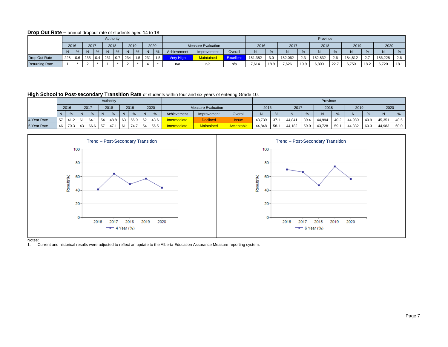#### **Drop Out Rate –** annual dropout rate of students aged 14 to 18

|                       |     |                                                  |        |      | Authority |                           |     |  |                  |     |                  |                           |         |         |      |         |      | Province |          |         |      |         |      |
|-----------------------|-----|--------------------------------------------------|--------|------|-----------|---------------------------|-----|--|------------------|-----|------------------|---------------------------|---------|---------|------|---------|------|----------|----------|---------|------|---------|------|
|                       |     | 2017<br>2018<br>2020<br>2016<br>2019<br>$\Omega$ |        |      |           |                           |     |  |                  |     |                  | <b>Measure Evaluation</b> |         | 2016    |      | 2017    |      | 2018     |          | 2019    |      | 2020    |      |
|                       |     | %                                                |        | $\%$ |           |                           |     |  |                  |     | Achievement      | Improvement               | Overall |         | %    |         |      |          | $\Omega$ | N       |      | N       |      |
| Drop Out Rate         | 228 | 0.6 <sub>1</sub>                                 | 235    |      | $0.4$ 231 | $\sqrt{7}$<br>$v_{\cdot}$ | 234 |  | $\overline{231}$ | 1.5 | <b>Very High</b> | <b>Maintained</b>         | Excel   | 181.382 | 3.0  | 182.062 | 2.3  | 182.832  | 2.6      | 184.812 | 2.7  | 186.228 | 2.6  |
| <b>Returning Rate</b> |     |                                                  | $\sim$ |      |           |                           |     |  |                  |     | n/a              | n/a                       | n/a     | 7.614   | 18.9 | 7,626   | 19.9 | 6,800    | 122.7    | 6.750   | 18.2 | 6.720   | 18.1 |

**High School to Post-secondary Transition Rate** of students within four and six years of entering Grade 10.

|             |              | Authority<br>2018<br>2016<br>2019<br>2020<br>2017<br>N <sub>1</sub><br>%<br>N<br>$\%$<br>N<br>$O_{\alpha}$<br>0/2 |     |      |    |      |    |         |    |               |                     |                           |                   |        |      |        |      | Province |      |        |      |        |      |
|-------------|--------------|-------------------------------------------------------------------------------------------------------------------|-----|------|----|------|----|---------|----|---------------|---------------------|---------------------------|-------------------|--------|------|--------|------|----------|------|--------|------|--------|------|
|             |              |                                                                                                                   |     |      |    |      |    |         |    |               |                     | <b>Measure Evaluation</b> |                   | 2016   |      | 2017   |      | 2018     |      | 2019   |      | 2020   |      |
|             | <sub>N</sub> |                                                                                                                   |     |      |    |      |    |         |    | $\frac{9}{6}$ | Achievement         | Improvement               | Overall           | N      |      |        |      | IN.      | $\%$ |        |      |        |      |
| 4 Year Rate | 57           | 41.2                                                                                                              | 61  | 64.1 | 54 | 48.8 | 63 | 56.9 62 |    | 43.6          | <b>Intermediate</b> | <b>Declined</b>           | <b>Issue</b>      | 43.739 | 37.1 | 44,841 | 39.4 | 44,994   | 40.2 | 44.980 | 40.9 | 45,351 | 40.5 |
| 6 Year Rate | 46           | 70.3                                                                                                              | -43 | 66.6 | 57 | 47.1 | 61 | 74.7    | 54 | 56.5          | Intermediate        | <b>Maintained</b>         | <b>Acceptable</b> | 44,848 | 58.1 | 44.182 | 59.0 | 43,728   | 59.1 | 44,832 | 60.3 | 44,983 | 60.0 |



Notes:

1. Current and historical results were adjusted to reflect an update to the Alberta Education Assurance Measure reporting system.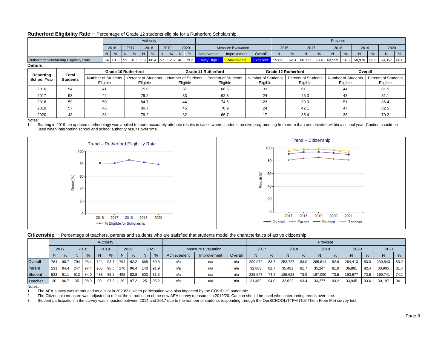#### **Rutherford Eligibility Rate** – Percentage of Grade 12 students eligible for a Rutherford Scholarship.

|                                                |                          |                    |          |                            |   |               |          | Authority                  |     |                                |   |                                |                     |                                        |                                |                     |   |                                        |               | Province           |          |                    |   |                                        |      |
|------------------------------------------------|--------------------------|--------------------|----------|----------------------------|---|---------------|----------|----------------------------|-----|--------------------------------|---|--------------------------------|---------------------|----------------------------------------|--------------------------------|---------------------|---|----------------------------------------|---------------|--------------------|----------|--------------------|---|----------------------------------------|------|
|                                                |                          |                    | 2016     |                            |   | 2017          |          | 2018                       |     | 2019                           |   | 2020                           |                     | <b>Measure Evaluation</b>              |                                | 2016                |   | 2017                                   |               | 2018               |          | 2019               |   | 2020                                   |      |
|                                                |                          |                    | N        | %                          | N | $\frac{9}{6}$ |          | %                          | -IN | %                              | N | %                              | Achievement         | Improvement                            | Overall                        | N                   | % | N                                      | $\frac{9}{6}$ | N                  | %        | N.                 | % | N                                      | %    |
| <b>Rutherford Scholarship Eligibility Rate</b> |                          |                    |          | 54 81.5 53 81.1            |   |               |          |                            |     | $\mid$ 59 86.4 57 82.5 48 79.2 |   |                                | Very High           | <b>Maintained</b>                      | Excellent                      | 59,063              |   | 62.3 60,127                            |               | 63.4 60,559 64.8   |          | 58,970 66.6 59,357 |   |                                        | 68.0 |
| Details:                                       |                          |                    |          |                            |   |               |          |                            |     |                                |   |                                |                     |                                        |                                |                     |   |                                        |               |                    |          |                    |   |                                        |      |
|                                                |                          |                    |          | <b>Grade 10 Rutherford</b> |   |               |          |                            |     |                                |   |                                | Grade 11 Rutherford |                                        |                                | Grade 12 Rutherford |   |                                        |               |                    |          | Overall            |   |                                        |      |
| Reporting<br><b>School Year</b>                | Total<br><b>Students</b> | Number of Students | Eligible |                            |   |               | Eligible | <b>Percent of Students</b> |     |                                |   | Number of Students<br>Eligible |                     | <b>Percent of Students</b><br>Eligible | Number of Students<br>Eligible |                     |   | <b>Percent of Students</b><br>Eligible |               | Number of Students | Eligible |                    |   | <b>Percent of Students</b><br>Eligible |      |
| 2016                                           | 54                       |                    | 41       |                            |   |               | 75.9     |                            |     |                                |   | 37                             |                     | 68.5                                   | 33                             |                     |   | 61.1                                   |               |                    | 44       |                    |   | 81.5                                   |      |
| 2017                                           | 53                       |                    | 42       |                            |   |               | 79.2     |                            |     |                                |   | 33                             |                     | 62.3                                   | 24                             |                     |   | 45.3                                   |               |                    | 43       |                    |   | 81.1                                   |      |
| 2018                                           | 59                       |                    | 50       |                            |   |               | 84.7     |                            |     |                                |   | 44                             |                     | 74.6                                   | 23                             |                     |   | 39.0                                   |               |                    | 51       |                    |   | 86.4                                   |      |
| 2019                                           | 57                       |                    | 46       |                            |   |               | 80.7     |                            |     |                                |   | 45                             |                     | 78.9                                   | 24                             |                     |   | 42.1                                   |               |                    | 47       |                    |   | 82.5                                   |      |
| 2020                                           | 48                       |                    | 38       |                            |   |               | 79.2     |                            |     |                                |   | 32                             |                     | 66.7                                   | 17                             |                     |   | 35.4                                   |               |                    | 38       |                    |   | 79.2                                   |      |

Notes:

1. Starting in 2019, an updated methodology was applied to more accurately attribute results in cases where students receive programming from more than one provider within a school year. Caution should be used when interpreting school and school authority results over time.



|         |     |               |             |      |     | Authority     |              |               |              |               |             |                           |         |                |               |         |      | Province |      |                |      |         |      |
|---------|-----|---------------|-------------|------|-----|---------------|--------------|---------------|--------------|---------------|-------------|---------------------------|---------|----------------|---------------|---------|------|----------|------|----------------|------|---------|------|
|         |     | 2017          |             | 2018 |     | 2019          |              | 2020          |              | 2021          |             | <b>Measure Evaluation</b> |         | 2017           |               | 2018    |      | 2019     |      | 2020           |      | 2021    |      |
|         |     | $\frac{9}{6}$ | N           | $\%$ |     | $\frac{9}{6}$ | <sub>N</sub> | $\frac{9}{6}$ | <sub>N</sub> | $\frac{9}{6}$ | Achievement | Improvement               | Overall | N <sub>1</sub> | $\frac{9}{6}$ | N       | $\%$ | N        | $\%$ | N <sub>1</sub> | $\%$ | N       | %    |
| Overall | 784 | 90.7          | 794         | 93.4 | 724 | 93.7          | 794          | 92.2          | 668          | 89.5          | n/a         | n/a                       | n/a     | 299.972        | 83.7          | 253.727 | 83.0 | 265.614  | 82.9 | 264.413        | 83.3 | 230.843 | 83.2 |
| Parent  | 231 | 94.4          | $\vert$ 247 | 97.4 | 206 | 98.5          | 270          | 96.4          | 140          | 91.9          | n/a         | n/a                       | n/a     | 32.863         | 82.7          | 35.482  | 81.7 | 35.247   | 81.9 | 36.89'         | 82.4 | 30,905  | 81.4 |
| Student | 523 | 81.1          | 1512        | 84.0 | 488 | 85.2          | 495          | 82.8          | 1503         | 81.3          | n/a         | n/a                       | n/a     | 235.647        | 74.4          | 185,623 | 73.9 | 197,090  | 73.5 | 193,577        | 73.8 | 169,741 | 74.1 |
| Teacher | 30  | 96.7          | 35          | 98.9 | 30  | 97.3          | 29           | 97.2          | 25           | 95.2          | n/a         | n/a                       | n/a     | 31,462         | 94.0          | 32,622  | 93.4 | 33,277   | 93.2 | 33,945         | 93.6 | 30,197  | 94.1 |

Notes:

1. The AEA survey was introduced as a pilot in 2020/21, when participation was also impacted by the COVID-19 pandemic.

2. The Citizenship measure was adjusted to reflect the introduction of the new AEA survey measures in 2019/20. Caution should be used when interpreting trends over time.<br>3. Student participation in the survey was impacted

Student participation in the survey was impacted between 2014 and 2017 due to the number of students responding through the OurSCHOOL/TTFM (Tell Them From Me) survey tool.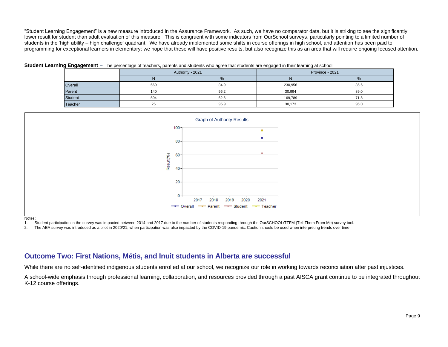"Student Learning Engagement" is a new measure introduced in the Assurance Framework. As such, we have no comparator data, but it is striking to see the significantly lower result for student than adult evaluation of this measure. This is congruent with some indicators from OurSchool surveys, particularly pointing to a limited number of students in the 'high ability – high challenge' quadrant. We have already implemented some shifts in course offerings in high school, and attention has been paid to programming for exceptional learners in elementary; we hope that these will have positive results, but also recognize this as an area that will require ongoing focused attention.

|  | Student Learning Engagement - The percentage of teachers, parents and students who agree that students are engaged in their learning at school. |  |  |  |  |
|--|-------------------------------------------------------------------------------------------------------------------------------------------------|--|--|--|--|
|--|-------------------------------------------------------------------------------------------------------------------------------------------------|--|--|--|--|

|                | Authority - 2021 |      |         | Province - 2021 |
|----------------|------------------|------|---------|-----------------|
|                | N                | %    | N       | %               |
| Overall        | 669              | 84.9 | 230,956 | 85.6            |
| Parent         | 140              | 96.2 | 30,994  | 89.0            |
| Student        | 504              | 62.6 | 169,789 | 71.8            |
| <b>Teacher</b> | 25               | 95.9 | 30,173  | 96.0            |



Notes:

1. Student participation in the survey was impacted between 2014 and 2017 due to the number of students responding through the OurSCHOOL/TTFM (Tell Them From Me) survey tool.

2. The AEA survey was introduced as a pilot in 2020/21, when participation was also impacted by the COVID-19 pandemic. Caution should be used when interpreting trends over time.

## **Outcome Two: First Nations, Métis, and Inuit students in Alberta are successful**

While there are no self-identified indigenous students enrolled at our school, we recognize our role in working towards reconciliation after past injustices.

A school-wide emphasis through professional learning, collaboration, and resources provided through a past AISCA grant continue to be integrated throughout K-12 course offerings.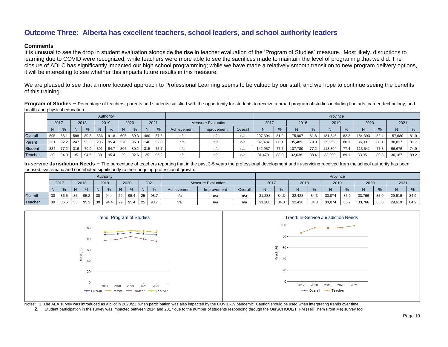# **Outcome Three: Alberta has excellent teachers, school leaders, and school authority leaders**

#### **Comments**

It is unusual to see the drop in student evaluation alongside the rise in teacher evaluation of the 'Program of Studies' measure. Most likely, disruptions to learning due to COVID were recognized, while teachers were more able to see the sacrifices made to maintain the level of programing that we did. The closure of ADLC has significantly impacted our high school programming; while we have made a relatively smooth transition to new program delivery options, it will be interesting to see whether this impacts future results in this measure.

We are pleased to see that a more focused approach to Professional Learning seems to be valued by our staff, and we hope to continue seeing the benefits of this training.

**Program of Studies** – Percentage of teachers, parents and students satisfied with the opportunity for students to receive a broad program of studies including fine arts, career, technology, and health and physical education.

|         |     |               |     |               |     | Authority     |     |               |                 |      |             |                           |         |         |      |         |      | Province |      |         |      |         |               |
|---------|-----|---------------|-----|---------------|-----|---------------|-----|---------------|-----------------|------|-------------|---------------------------|---------|---------|------|---------|------|----------|------|---------|------|---------|---------------|
|         |     | 2017          |     | 2018          |     | 2019          |     | 2020          |                 | 2021 |             | <b>Measure Evaluation</b> |         | 2017    |      | 2018    |      | 2019     |      | 2020    |      | 2021    |               |
|         | N.  | $\frac{9}{6}$ | N.  | $\frac{9}{6}$ | N   | $\frac{9}{6}$ | -N  | $\frac{9}{6}$ | N               | $\%$ | Achievement | Improvement               | Overall |         |      |         |      |          |      | N       |      |         | $\frac{9}{6}$ |
| Overall | 595 | 88.           | 598 | 89.3          | 536 | 91.8          | 605 | 89.3          | 48 <sub>C</sub> | 87.6 | n/a         | n/a                       | n/a     | 207.304 | 81.9 | 175,907 | 81.8 | 181,846  | 82.2 | 184,393 | 82.4 | 157.680 | 81.9          |
| Parent  | 231 | 92.2          | 247 | 93.3          | 205 | 95.4          | 270 | 95.0          | 140             | 92.0 | n/a         | n/a                       | n/a     | 32.874  | 80.1 | 35.489  | 79.9 | 35,252   | 80.7 | 36.901  | 80.1 | 30,817  | 81.7          |
| Student | 334 | 77.2          | 316 | 79.9          | 301 | 84.7          | 306 | 80.2          | 315             | 75.7 | n/a         | n/a                       | n/a     | 142.957 | 77.7 | 107.780 | 77.2 | 113.304  | 77.4 | 113.541 | 77.8 | 96.676  | 74.9          |
| Teacher | 30  | 94.9          | 35  | 94.5          | 30  | 95.4          | 29  | 92.6          | 25              | 95.2 | n/a         | n/a                       | n/a     | 31.473  | 88.0 | 32,638  | 88.4 | 33,290   | 89.  | 33,951  | 89.3 | 30,187  | 89.2          |

In-service Jurisdiction Needs – The percentage of teachers reporting that in the past 3-5 years the professional development and in-servicing received from the school authority has been focused, systematic and contributed significantly to their ongoing professional growth.

|         |                              |      |    |      |    | Authority |    |              |    | _______                   |             |             |         |        |      |        |      | Province |      |        |               |        |      |
|---------|------------------------------|------|----|------|----|-----------|----|--------------|----|---------------------------|-------------|-------------|---------|--------|------|--------|------|----------|------|--------|---------------|--------|------|
|         | 2017<br>2018<br>$\mathbf{O}$ |      |    | 2019 |    | 2020      |    | 2021         |    | <b>Measure Evaluation</b> |             | 2017        |         | 2018   |      | 2019   |      | 2020     |      | 2021   |               |        |      |
|         |                              |      |    |      |    |           | N  | $O_{\alpha}$ |    | $O_{\alpha}$              | Achievement | Improvement | Overall |        |      |        |      |          |      | N      | $\frac{9}{6}$ | N      | 0/2  |
| Overall | 30                           | 86.5 | 35 | 95.2 | 30 | 94.4      | 29 | 95.4         | 25 | 98.7                      | n/a         | n/a         | n/a     | 31,288 | 84.3 | 32.428 | 84.3 | 33,074   | 85.2 | 33,766 | 85.0          | 29,619 | 84.9 |
| Teacher | 30                           | 86.5 | 35 | 95.2 | 30 | 94.4      | 29 | 95.4         | 25 | 98.7                      | n/a         | n/a         | n/a     | 31,288 | 84.3 | 32,428 | 84.3 | 33,074   | 85.2 | 33,766 | 85.0          | 29,619 | 84.9 |



Notes: 1. The AEA survey was introduced as a pilot in 2020/21, when participation was also impacted by the COVID-19 pandemic. Caution should be used when interpreting trends over time.

2. Student participation in the survey was impacted between 2014 and 2017 due to the number of students responding through the OurSCHOOL/TTFM (Tell Them From Me) survey tool.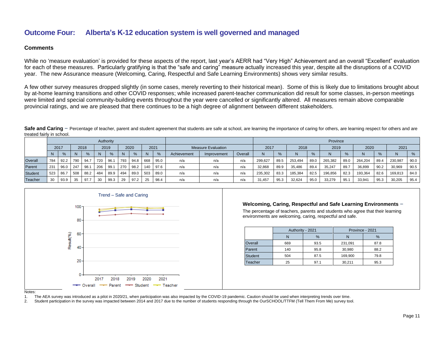# **Outcome Four: Alberta's K-12 education system is well governed and managed**

#### **Comments**

While no 'measure evaluation' is provided for these aspects of the report, last year's AERR had "Very High" Achievement and an overall "Excellent" evaluation for each of these measures. Particularly gratifying is that the "safe and caring" measure actually increased this year, despite all the disruptions of a COVID year. The new Assurance measure (Welcoming, Caring, Respectful and Safe Learning Environments) shows very similar results.

A few other survey measures dropped slightly (in some cases, merely reverting to their historical mean). Some of this is likely due to limitations brought about by at-home learning transitions and other COVID responses; while increased parent-teacher communication did result for some classes, in-person meetings were limited and special community-building events throughout the year were cancelled or significantly altered. All measures remain above comparable provincial ratings, and we are pleased that there continues to be a high degree of alignment between different stakeholders.

Safe and Caring – Percentage of teacher, parent and student agreement that students are safe at school, are learning the importance of caring for others, are learning respect for others and are treated fairly in school.

|                |      |      |     |      |              | Authority |     |      |              |               |             |                    |         |                |               |         |      | Province |      |         |      |         |               |
|----------------|------|------|-----|------|--------------|-----------|-----|------|--------------|---------------|-------------|--------------------|---------|----------------|---------------|---------|------|----------|------|---------|------|---------|---------------|
|                |      | 2017 |     | 2018 |              | 2019      |     | 2020 |              | 2021          |             | Measure Evaluation |         | 2017           |               | 2018    |      | 2019     |      | 2020    |      | 2021    |               |
|                |      | $\%$ |     | $\%$ | <sup>N</sup> | $\%$      | N.  | %    | <sub>N</sub> | $\frac{9}{6}$ | Achievement | Improvement        | Overall | N <sub>1</sub> | $\frac{0}{6}$ |         | O/   |          |      | N       | %    |         | $\frac{9}{6}$ |
| Overall        | 784  | 92.2 | 790 | 94.7 | 720          | 96.       | 793 | 94.8 | 668          | 95.0          | n/a         | n/a                | n/a     | 299.627        | 89.5          | 253.494 | 89.0 | 265,382  | 89.0 | 264.204 | 89.4 | 230.987 | 90.0          |
| Parent         | 1231 | 96.0 | 247 | 98.1 | 206          | 99.       | 270 | 98.2 | 140          | 97.6          | n/a         | n/a                | n/a     | 32,868         | 89.9          | 35,486  | 89.4 | 35,247   | 89.7 | 36,899  | 90.2 | 30,969  | 90.5          |
| <b>Student</b> | 523  | 86.7 | 508 | 88.2 | 484          | 89.9      | 494 | 89.0 | 503          | 89.0          | n/a         | n/a                | n/a     | 235,302        | 83.3          | 185,384 | 82.5 | 196,856  | 82.3 | 193,364 | 82.6 | 169,813 | 84.0          |
| <b>Teacher</b> | 30   | 93.9 | 35  | 97.7 | 30           | 99.3      | 29  | 97.2 | 25           | 98.4          | n/a         | n/a                | n/a     | 31,457         | 95.3          | 32,624  | 95.0 | 33,279   | 95.7 | 33,941  | 95.3 | 30,205  | 95.4          |



#### **Welcoming, Caring, Respectful and Safe Learning Environments** –

The percentage of teachers, parents and students who agree that their learning environments are welcoming, caring, respectful and safe.

|                | Authority - 2021 |      | Province - 2021 |      |
|----------------|------------------|------|-----------------|------|
|                |                  | $\%$ |                 | $\%$ |
| Overall        | 669              | 93.5 | 231,091         | 87.8 |
| Parent         | 140              | 95.8 | 30,980          | 88.2 |
| <b>Student</b> | 504              | 87.5 | 169,900         | 79.8 |
| Teacher        | 25               | 97.1 | 30.211          | 95.3 |

Notes:

<sup>1.</sup> The AEA survey was introduced as a pilot in 2020/21, when participation was also impacted by the COVID-19 pandemic. Caution should be used when interpreting trends over time.

<sup>2.</sup> Student participation in the survey was impacted between 2014 and 2017 due to the number of students responding through the OurSCHOOL/TTFM (Tell Them From Me) survey tool.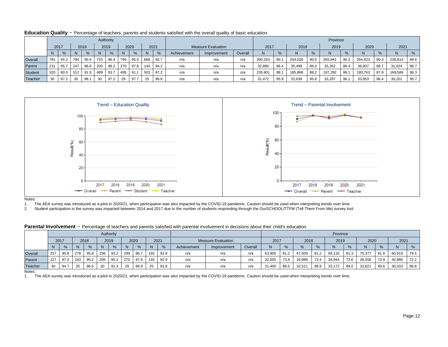|                |     |               |     |      |     | Authority |     |      |          |               |             |                           |         |         |      |         |              | Province |      |         |               |         |               |
|----------------|-----|---------------|-----|------|-----|-----------|-----|------|----------|---------------|-------------|---------------------------|---------|---------|------|---------|--------------|----------|------|---------|---------------|---------|---------------|
|                |     | 2017          |     | 2018 |     | 2019      |     | 2020 |          | 2021          |             | <b>Measure Evaluation</b> | 2017    |         | 2018 |         | 2019         |          | 2020 |         | 2021          |         |               |
|                | N.  | $\frac{9}{6}$ | N.  | %    | N.  | %         |     | %    | <b>N</b> | $\frac{0}{6}$ | Achievement | Improvement               | Overall | N.      | $\%$ |         | $O_{\alpha}$ | N        |      | N       | $\frac{9}{6}$ |         | $\frac{9}{6}$ |
| Overall        | 781 | 94.3          | 794 | 95.6 | 725 | 96.4      | 794 | 95.5 | 668      | 92.7          | n/a         | n/a                       | n/a     | 300,253 | 90.  | 254,026 | 90.0         | 265,84   | 90.2 | 264,623 | 90.3          | 230,814 | 89.6          |
| Parent         | 231 | 95.7          | 247 | 96.8 | 206 | 98.2      | 270 | 97.8 | 140      | 94.2          | n/a         | n/a                       | n/a     | 32.880  | 86.4 | 35.499  | 86.0         | 35,262   | 86.4 | 36.907  | 86.7          | 31,024  | 86.7          |
| <b>Student</b> | 520 | 90.0          | 512 | 91.9 | 489 | 93.7      | 495 | 91.  | 503      | 87.2          | n/a         | n/a                       | n/a     | 235,901 | 88.  | 185,888 | 88.2         | 197.282  | 88   | 193,763 | 87.8          | 169,589 | 86.3          |
| Teacher        | 30  | 97.2          | 35  | 98.1 | 30  | 97.2      | 29  | 97.7 | 25       | 96.6          | n/a         | n/a                       | n/a     | 31.472  | 95.9 | 32,639  | 95.8         | 33,297   | 96.  | 33,953  | 96.4          | 30,201  | 95.7          |

**Education Quality** – Percentage of teachers, parents and students satisfied with the overall quality of basic education.



Notes:

1. The AEA survey was introduced as a pilot in 2020/21, when participation was also impacted by the COVID-19 pandemic. Caution should be used when interpreting trends over time.

2. Student participation in the survey was impacted between 2014 and 2017 due to the number of students responding through the OurSCHOOL/TTFM (Tell Them From Me) survey tool.

|                |      |      |     |      |     | Authority |     |      |     |      |             |                           |         |        |      |        |      | Province |      |        |      |        |      |
|----------------|------|------|-----|------|-----|-----------|-----|------|-----|------|-------------|---------------------------|---------|--------|------|--------|------|----------|------|--------|------|--------|------|
|                | 2017 |      |     | 2018 |     | 2019      |     | 2020 |     | 2021 |             | <b>Measure Evaluation</b> |         | 2017   |      | 2018   |      | 2019     |      | 2020   |      | 2021   |      |
|                | N.   | $\%$ | N.  | %    | N   | %         |     |      |     | $\%$ | Achievement | Improvement               | Overall | N      | %    | N      |      | Ν        |      | N      | $\%$ | N      | %    |
| Overall        | 257  | 90.8 | 278 | 95.8 | 236 | 93.2      | 299 | 96.7 | 165 | 92.8 | n/a         | n/a                       | n/a     | 63,905 | 81.2 | 67,509 | 81.2 | 68,116   |      | 70,377 | 81.8 | 60,919 | 79.5 |
| Parent         | 227  | 87.0 | 243 | 95.2 | 206 | 95.1      | 270 | 97.6 | 140 | 92.9 | n/a         | n/a                       | n/a     | 32,505 | 73.9 | 34,998 | 73.4 | 34,944   | 73.6 | 36,556 | 73.9 | 30,886 | 72.2 |
| <b>Teacher</b> | 30   | 94.7 |     | 96.5 | 30  | 91.3      | 29  | 95.9 |     | 92.8 | n/a         | n/a                       | n/a     | 31,400 | 88.5 | 32,51  | 88.9 | 33,172   | 89.C | 33,82  | 89.6 | 30,033 | 86.8 |

**Parental Involvement** – Percentage of teachers and parents satisfied with parental involvement in decisions about their child's education.

Notes:

1. The AEA survey was introduced as a pilot in 2020/21, when participation was also impacted by the COVID-19 pandemic. Caution should be used when interpreting trends over time.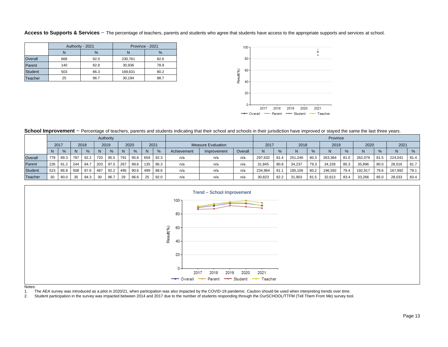#### Access to Supports & Services - The percentage of teachers, parents and students who agree that students have access to the appropriate supports and services at school.

|                | Authority - 2021 |      | Province - 2021 |      |
|----------------|------------------|------|-----------------|------|
|                |                  | %    |                 | $\%$ |
| Overall        | 668              | 92.0 | 230.761         | 82.6 |
| Parent         | 140              | 92.8 | 30,936          | 78.9 |
| <b>Student</b> | 503              | 86.3 | 169.631         | 80.2 |
| Teacher        | 25               | 96.7 | 30.194          | 88.7 |



School Improvement - Percentage of teachers, parents and students indicating that their school and schools in their jurisdiction have improved or stayed the same the last three years.

|                |     |      |     |      |     | Authority |     |      |     |      |             |                           |         |         |      |         |               | Province |      |         |               |         |      |
|----------------|-----|------|-----|------|-----|-----------|-----|------|-----|------|-------------|---------------------------|---------|---------|------|---------|---------------|----------|------|---------|---------------|---------|------|
|                |     | 2017 |     | 2018 |     | 2019      |     | 2020 |     | 2021 |             | <b>Measure Evaluation</b> |         | 2017    |      | 2018    |               | 2019     |      | 2020    |               | 2021    |      |
|                |     | $\%$ |     | $\%$ |     | %         | N.  | %    | N   | %    | Achievement | Improvement               | Overall | N.      | $\%$ |         | $\frac{6}{6}$ | N        |      | N       | $\frac{9}{6}$ |         | %    |
| Overall        | 779 | 89.3 | 787 | 92.2 | 720 | 95.5      | 791 | 95.6 | 659 | 92.3 | n/a         | n/a                       | n/a     | 297.632 | 81.4 | 251.246 | 80.3          | 263,364  | 81.0 | 262,079 | 81.5          | 224.041 | 81.4 |
| Parent         | 226 | 91.2 | 244 | 94.7 | 203 | 97.5      | 267 | 99.6 | 135 | 96.3 | n/a         | n/a                       | n/a     | 31,845  | 80.8 | 34.237  | 79.3          | 34,159   | 80.3 | 35,896  | 80.0          | 28.016  | 81.7 |
| <b>Student</b> | 523 | 86.8 | 508 | 87.6 | 487 | 92.2      | 495 | 90.6 | 499 | 88.6 | n/a         | n/a                       | n/a     | 234,964 | 81.  | 185.106 | 80.2          | 196,592  | 79.4 | 192,917 | 79.6          | 167,992 | 79.1 |
| Teacher        | 30  | 90.0 | 35  | 94.3 | 30  | 96.7      | 29  | 96.6 | 25  | 92.0 | n/a         | n/a                       | n/a     | 30,823  | 82.2 | 31,903  | 81.5          | 32,613   | 83.4 | 33,266  | 85.C          | 28,033  | 83.4 |



Notes:<br>1. T

The AEA survey was introduced as a pilot in 2020/21, when participation was also impacted by the COVID-19 pandemic. Caution should be used when interpreting trends over time.

2. Student participation in the survey was impacted between 2014 and 2017 due to the number of students responding through the OurSCHOOL/TTFM (Tell Them From Me) survey tool.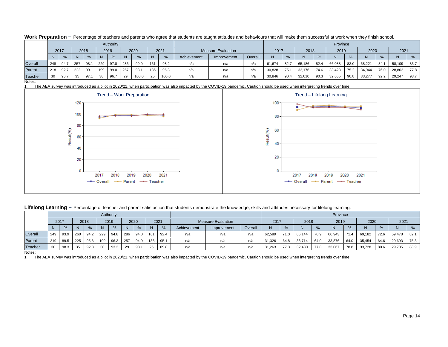|         |     |               |     |      |            | Authority |     |       |     |              |             |                    |         |        |      |        |      | Province |      |        |      |        |               |
|---------|-----|---------------|-----|------|------------|-----------|-----|-------|-----|--------------|-------------|--------------------|---------|--------|------|--------|------|----------|------|--------|------|--------|---------------|
|         |     | 2017          |     | 2018 |            | 2019      |     | 2020  |     | 2021         |             | Measure Evaluation |         | 2017   |      | 2018   |      | 2019     |      | 2020   |      | 2021   |               |
|         | N   | $\frac{9}{6}$ |     | %    |            | $\%$      |     |       |     | $O_{\alpha}$ | Achievement | Improvement        | Overall |        | %    |        | O/2  |          |      |        |      |        | $\frac{0}{6}$ |
| Overall | 248 | 94.7          | 257 | 98.1 | 229        | 97.8      | 286 | 99.0  | 161 | 98.2         | n/a         | n/a                | n/a     | 61.674 | 82.7 | 65,186 | 82.4 | 66,088   | 83.0 | 68,221 | 84.7 | 58,109 | 85.7          |
| Parent  | 218 | 92.7          | 222 | 99.1 | <b>199</b> | 99.0      | 257 | 98.1  | 136 | 96.3         | n/a         | n/a                | n/a     | 30,828 | 75.1 | 33,176 | 74.6 | 33,423   | 75.2 | 34,944 | 76.0 | 28,862 | 77.8          |
| Teacher | 30  | 96.7          | 35  | 97.1 | 30         | 96.7      | 29  | 100.0 | 25  | 100.0        | n/a         | n/a                | n/a     | 30,846 | 90.4 | 32,010 | 90.3 | 32,665   | 90.8 | 33,277 | 92.2 | 29,247 | 93.7          |

Work Preparation - Percentage of teachers and parents who agree that students are taught attitudes and behaviours that will make them successful at work when they finish school.

Notes:

The AEA survey was introduced as a pilot in 2020/21, when participation was also impacted by the COVID-19 pandemic. Caution should be used when interpreting trends over time.



Lifelong Learning - Percentage of teacher and parent satisfaction that students demonstrate the knowledge, skills and attitudes necessary for lifelong learning.

|         |      |      |     |               |     | Authority |     |      |     |      |             |                           |         |        |      |        |               | Province |      |        |              |        |      |
|---------|------|------|-----|---------------|-----|-----------|-----|------|-----|------|-------------|---------------------------|---------|--------|------|--------|---------------|----------|------|--------|--------------|--------|------|
|         | 2017 |      |     | 2018          |     | 2019      |     | 2020 |     | 2021 |             | <b>Measure Evaluation</b> |         | 2017   |      | 2018   |               | 2019     |      | 2020   |              | 2021   |      |
|         | N.   | %    | N   | $\frac{9}{6}$ |     | %         | N   | %    | N   | %    | Achievement | Improvement               | Overall | N      |      | N      | $\frac{9}{6}$ |          | %    |        | $O_{\alpha}$ |        | $\%$ |
| Overall | 249  | 93.9 | 260 | 94.2          | 229 | 94.8      | 286 | 94.0 | 161 | 92.4 | n/a         | n/a                       | n/a     | 62,589 | 71.0 | 66,144 | 70.9          | 66,943   | 71.4 | 69,182 | 72.6         | 59,478 | 82.1 |
| Parent  | 219  | 89.5 | 225 | 95.6          | 199 | 96.3      | 257 | 94.9 | 136 | 95.1 | n/a         | n/a                       | n/a     | 31,326 | 64.8 | 33,714 | 64.0          | 33,876   | 64.0 | 35,454 | 64.6         | 29,693 | 75.3 |
| Teacher | 30   | 98.3 | 35  | 92.8          | 30  | 93.3      | 29  | 93.1 | 25  | 89.8 | n/a         | n/a                       | n/a     | 31,263 | 77.3 | 32,430 | 77.8          | 33,067   | 78.8 | 33,728 | 80.6         | 29,785 | 88.9 |

Notes:

1. The AEA survey was introduced as a pilot in 2020/21, when participation was also impacted by the COVID-19 pandemic. Caution should be used when interpreting trends over time.